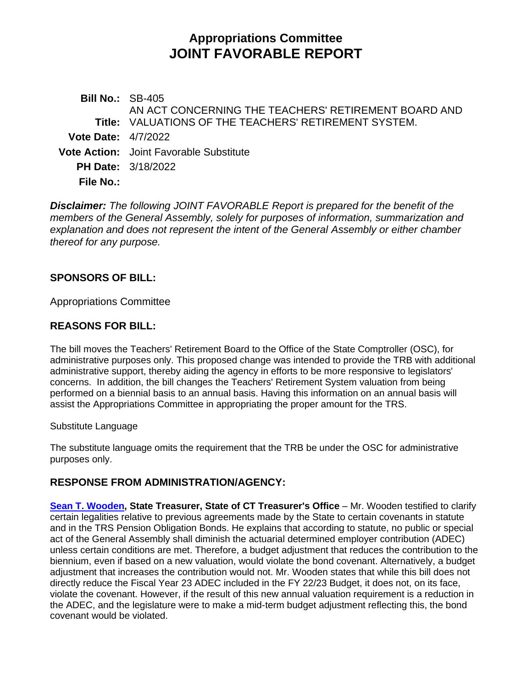# **Appropriations Committee JOINT FAVORABLE REPORT**

**Bill No.:** SB-405 **Title:** VALUATIONS OF THE TEACHERS' RETIREMENT SYSTEM. AN ACT CONCERNING THE TEACHERS' RETIREMENT BOARD AND **Vote Date:** 4/7/2022 **Vote Action:** Joint Favorable Substitute **PH Date:** 3/18/2022 **File No.:**

*Disclaimer: The following JOINT FAVORABLE Report is prepared for the benefit of the members of the General Assembly, solely for purposes of information, summarization and explanation and does not represent the intent of the General Assembly or either chamber thereof for any purpose.*

## **SPONSORS OF BILL:**

Appropriations Committee

## **REASONS FOR BILL:**

The bill moves the Teachers' Retirement Board to the Office of the State Comptroller (OSC), for administrative purposes only. This proposed change was intended to provide the TRB with additional administrative support, thereby aiding the agency in efforts to be more responsive to legislators' concerns. In addition, the bill changes the Teachers' Retirement System valuation from being performed on a biennial basis to an annual basis. Having this information on an annual basis will assist the Appropriations Committee in appropriating the proper amount for the TRS.

#### Substitute Language

The substitute language omits the requirement that the TRB be under the OSC for administrative purposes only.

# **RESPONSE FROM ADMINISTRATION/AGENCY:**

**[Sean T. Wooden,](https://cga.ct.gov/2022/APPdata/Tmy/2022SB-00405-R000318-Agency-Office%20of%20the%20Treasurer-,%20Shawn%20Wooden,%20State%20Treasurer-TMY.PDF) State Treasurer, State of CT Treasurer's Office – Mr. Wooden testified to clarify** certain legalities relative to previous agreements made by the State to certain covenants in statute and in the TRS Pension Obligation Bonds. He explains that according to statute, no public or special act of the General Assembly shall diminish the actuarial determined employer contribution (ADEC) unless certain conditions are met. Therefore, a budget adjustment that reduces the contribution to the biennium, even if based on a new valuation, would violate the bond covenant. Alternatively, a budget adjustment that increases the contribution would not. Mr. Wooden states that while this bill does not directly reduce the Fiscal Year 23 ADEC included in the FY 22/23 Budget, it does not, on its face, violate the covenant. However, if the result of this new annual valuation requirement is a reduction in the ADEC, and the legislature were to make a mid-term budget adjustment reflecting this, the bond covenant would be violated.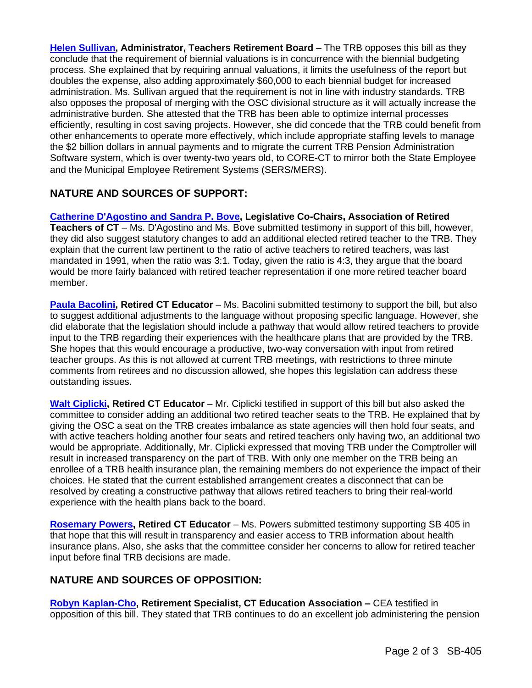**[Helen Sullivan,](https://cga.ct.gov/2022/APPdata/Tmy/2022SB-00405-R000318-Agency-CT%20Teachers%20%20Retirement%20Board-,%20Helen%20Sullivan,%20Administrator-TMY.PDF) Administrator, Teachers Retirement Board** – The TRB opposes this bill as they conclude that the requirement of biennial valuations is in concurrence with the biennial budgeting process. She explained that by requiring annual valuations, it limits the usefulness of the report but doubles the expense, also adding approximately \$60,000 to each biennial budget for increased administration. Ms. Sullivan argued that the requirement is not in line with industry standards. TRB also opposes the proposal of merging with the OSC divisional structure as it will actually increase the administrative burden. She attested that the TRB has been able to optimize internal processes efficiently, resulting in cost saving projects. However, she did concede that the TRB could benefit from other enhancements to operate more effectively, which include appropriate staffing levels to manage the \$2 billion dollars in annual payments and to migrate the current TRB Pension Administration Software system, which is over twenty-two years old, to CORE-CT to mirror both the State Employee and the Municipal Employee Retirement Systems (SERS/MERS).

## **NATURE AND SOURCES OF SUPPORT:**

**[Catherine D'Agostino and Sandra P. Bove,](https://cga.ct.gov/2022/APPdata/Tmy/2022SB-00405-R000318-D%20Agostino,Catherine%20-,%20Bove,%20Sandra-Assoc%20of%20Retired%20Teachers-TMY.PDF) Legislative Co-Chairs, Association of Retired Teachers of CT** – Ms. D'Agostino and Ms. Bove submitted testimony in support of this bill, however, they did also suggest statutory changes to add an additional elected retired teacher to the TRB. They explain that the current law pertinent to the ratio of active teachers to retired teachers, was last mandated in 1991, when the ratio was 3:1. Today, given the ratio is 4:3, they argue that the board would be more fairly balanced with retired teacher representation if one more retired teacher board member.

**[Paula Bacolini,](https://cga.ct.gov/2022/APPdata/Tmy/2022SB-00405-R000318-Bacolini,%20Paula-TMY.PDF) Retired CT Educator** – Ms. Bacolini submitted testimony to support the bill, but also to suggest additional adjustments to the language without proposing specific language. However, she did elaborate that the legislation should include a pathway that would allow retired teachers to provide input to the TRB regarding their experiences with the healthcare plans that are provided by the TRB. She hopes that this would encourage a productive, two-way conversation with input from retired teacher groups. As this is not allowed at current TRB meetings, with restrictions to three minute comments from retirees and no discussion allowed, she hopes this legislation can address these outstanding issues.

**[Walt Ciplicki,](https://cga.ct.gov/2022/APPdata/Tmy/2022SB-00405-R000318-Ciplinski,%20Walt-TMY.PDF) Retired CT Educator** – Mr. Ciplicki testified in support of this bill but also asked the committee to consider adding an additional two retired teacher seats to the TRB. He explained that by giving the OSC a seat on the TRB creates imbalance as state agencies will then hold four seats, and with active teachers holding another four seats and retired teachers only having two, an additional two would be appropriate. Additionally, Mr. Ciplicki expressed that moving TRB under the Comptroller will result in increased transparency on the part of TRB. With only one member on the TRB being an enrollee of a TRB health insurance plan, the remaining members do not experience the impact of their choices. He stated that the current established arrangement creates a disconnect that can be resolved by creating a constructive pathway that allows retired teachers to bring their real-world experience with the health plans back to the board.

**[Rosemary Powers,](https://cga.ct.gov/2022/APPdata/Tmy/2022SB-00405-R000318-Powers,%20Rosemary-TMY.PDF) Retired CT Educator** – Ms. Powers submitted testimony supporting SB 405 in that hope that this will result in transparency and easier access to TRB information about health insurance plans. Also, she asks that the committee consider her concerns to allow for retired teacher input before final TRB decisions are made.

## **NATURE AND SOURCES OF OPPOSITION:**

**[Robyn Kaplan-Cho,](https://cga.ct.gov/2022/APPdata/Tmy/2022SB-00405-R000318-Kaplan-Cho,%20Robyn,%20Retirement%20Specialist-Connecticut%20Education%20Association-TMY.PDF) Retirement Specialist, CT Education Association –** CEA testified in opposition of this bill. They stated that TRB continues to do an excellent job administering the pension